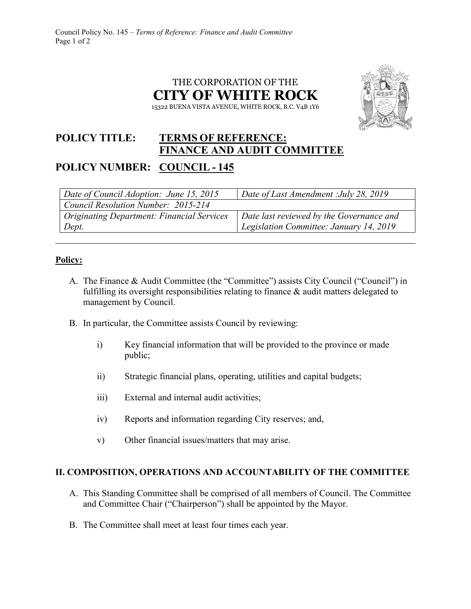



## **POLICY TITLE: TERMS OF REFERENCE: FINANCE AND AUDIT COMMITTEE POLICY NUMBER: COUNCIL - 145**

| Date of Council Adoption: June 15, 2015           | Date of Last Amendment : July 28, 2019   |
|---------------------------------------------------|------------------------------------------|
| Council Resolution Number: 2015-214               |                                          |
| <b>Originating Department: Financial Services</b> | Date last reviewed by the Governance and |
| Dept.                                             | Legislation Committee: January 14, 2019  |

## **Policy:**

- A. The Finance & Audit Committee (the "Committee") assists City Council ("Council") in fulfilling its oversight responsibilities relating to finance & audit matters delegated to management by Council.
- B. In particular, the Committee assists Council by reviewing:
	- i) Key financial information that will be provided to the province or made public;
	- ii) Strategic financial plans, operating, utilities and capital budgets;
	- iii) External and internal audit activities;
	- iv) Reports and information regarding City reserves; and,
	- v) Other financial issues/matters that may arise.

## **II. COMPOSITION, OPERATIONS AND ACCOUNTABILITY OF THE COMMITTEE**

- A. This Standing Committee shall be comprised of all members of Council. The Committee and Committee Chair ("Chairperson") shall be appointed by the Mayor.
- B. The Committee shall meet at least four times each year.